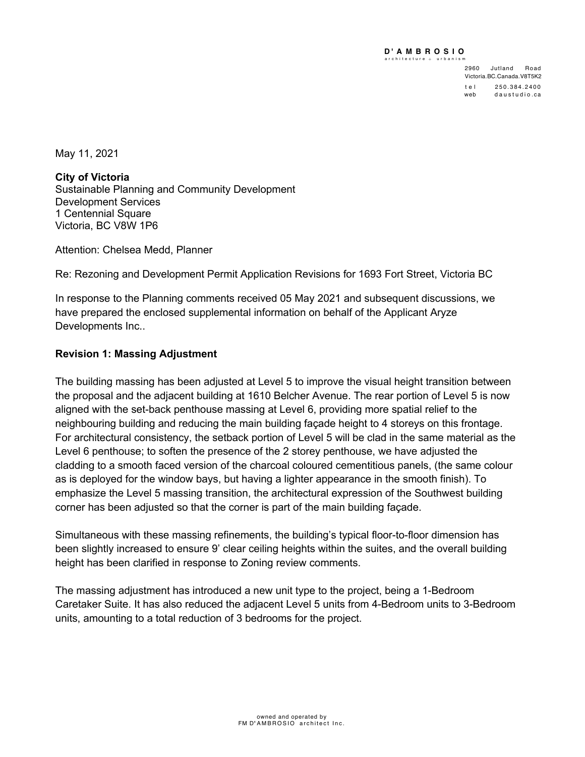#### **D ' AMBROSIO PACER** chitecture +

2960 Jutland Road Victoria.BC.Canada.V8T5K2 tel 250.384.2400 web daustudio.ca

May 11, 2021

**City of Victoria** Sustainable Planning and Community Development Development Services 1 Centennial Square Victoria, BC V8W 1P6

Attention: Chelsea Medd, Planner

Re: Rezoning and Development Permit Application Revisions for 1693 Fort Street, Victoria BC

In response to the Planning comments received 05 May 2021 and subsequent discussions, we have prepared the enclosed supplemental information on behalf of the Applicant Aryze Developments Inc..

# **Revision 1: Massing Adjustment**

The building massing has been adjusted at Level 5 to improve the visual height transition between the proposal and the adjacent building at 1610 Belcher Avenue. The rear portion of Level 5 is now aligned with the set-back penthouse massing at Level 6, providing more spatial relief to the neighbouring building and reducing the main building façade height to 4 storeys on this frontage. For architectural consistency, the setback portion of Level 5 will be clad in the same material as the Level 6 penthouse; to soften the presence of the 2 storey penthouse, we have adjusted the cladding to a smooth faced version of the charcoal coloured cementitious panels, (the same colour as is deployed for the window bays, but having a lighter appearance in the smooth finish). To emphasize the Level 5 massing transition, the architectural expression of the Southwest building corner has been adjusted so that the corner is part of the main building façade.

Simultaneous with these massing refinements, the building's typical floor-to-floor dimension has been slightly increased to ensure 9' clear ceiling heights within the suites, and the overall building height has been clarified in response to Zoning review comments.

The massing adjustment has introduced a new unit type to the project, being a 1-Bedroom Caretaker Suite. It has also reduced the adjacent Level 5 units from 4-Bedroom units to 3-Bedroom units, amounting to a total reduction of 3 bedrooms for the project.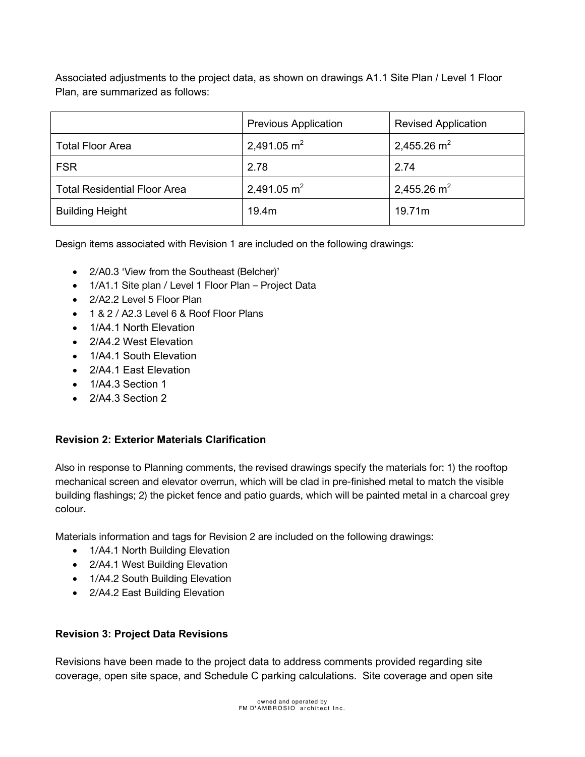Associated adjustments to the project data, as shown on drawings A1.1 Site Plan / Level 1 Floor Plan, are summarized as follows:

|                                     | <b>Previous Application</b> | <b>Revised Application</b> |
|-------------------------------------|-----------------------------|----------------------------|
| <b>Total Floor Area</b>             | 2,491.05 $m2$               | 2,455.26 $m2$              |
| <b>FSR</b>                          | 2.78                        | 2.74                       |
| <b>Total Residential Floor Area</b> | 2,491.05 $m2$               | 2,455.26 $m2$              |
| <b>Building Height</b>              | 19.4m                       | 19.71m                     |

Design items associated with Revision 1 are included on the following drawings:

- 2/A0.3 'View from the Southeast (Belcher)'
- 1/A1.1 Site plan / Level 1 Floor Plan Project Data
- 2/A2.2 Level 5 Floor Plan
- 1 & 2 / A2.3 Level 6 & Roof Floor Plans
- 1/A4.1 North Elevation
- 2/A4.2 West Elevation
- 1/A4.1 South Elevation
- 2/A4.1 East Elevation
- 1/A4.3 Section 1
- 2/A4.3 Section 2

### **Revision 2: Exterior Materials Clarification**

Also in response to Planning comments, the revised drawings specify the materials for: 1) the rooftop mechanical screen and elevator overrun, which will be clad in pre-finished metal to match the visible building flashings; 2) the picket fence and patio guards, which will be painted metal in a charcoal grey colour.

Materials information and tags for Revision 2 are included on the following drawings:

- 1/A4.1 North Building Elevation
- 2/A4.1 West Building Elevation
- 1/A4.2 South Building Elevation
- 2/A4.2 East Building Elevation

## **Revision 3: Project Data Revisions**

Revisions have been made to the project data to address comments provided regarding site coverage, open site space, and Schedule C parking calculations. Site coverage and open site